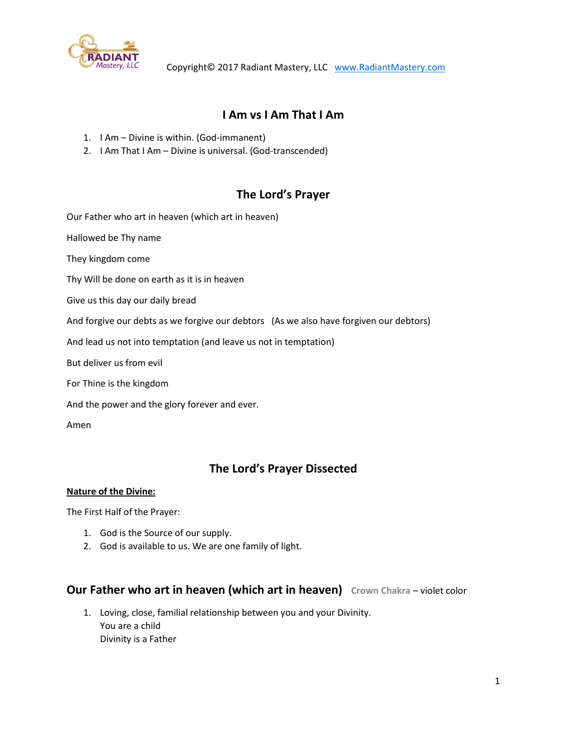

# **I Am vs I Am That I Am**

- 1. I Am Divine is within. (God-immanent)
- 2. I Am That I Am Divine is universal. (God-transcended)

# **The Lord's Prayer**

Our Father who art in heaven (which art in heaven)

Hallowed be Thy name

They kingdom come

Thy Will be done on earth as it is in heaven

Give us this day our daily bread

And forgive our debts as we forgive our debtors (As we also have forgiven our debtors)

And lead us not into temptation (and leave us not in temptation)

But deliver us from evil

For Thine is the kingdom

And the power and the glory forever and ever.

Amen

# **The Lord's Prayer Dissected**

#### **Nature of the Divine:**

The First Half of the Prayer:

- 1. God is the Source of our supply.
- 2. God is available to us. We are one family of light.

# **Our Father who art in heaven (which art in heaven) Crown Chakra** – violet color

1. Loving, close, familial relationship between you and your Divinity. You are a child Divinity is a Father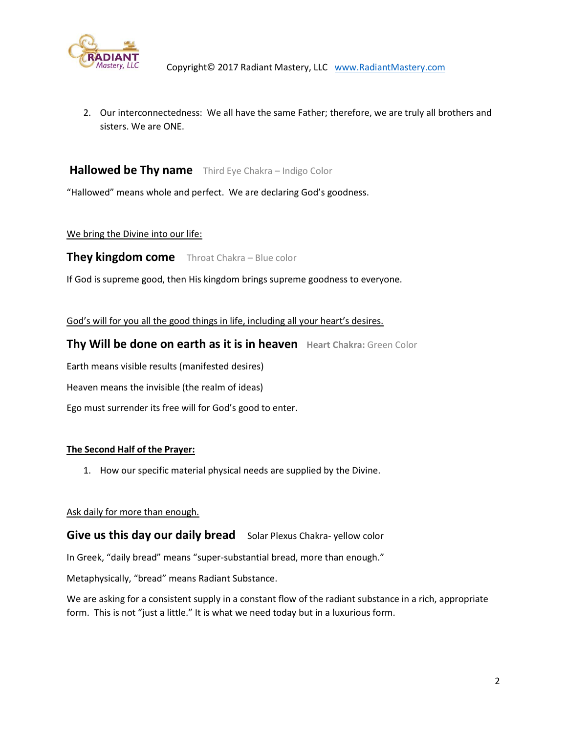

2. Our interconnectedness: We all have the same Father; therefore, we are truly all brothers and sisters. We are ONE.

# **Hallowed be Thy name** Third Eye Chakra – Indigo Color

"Hallowed" means whole and perfect. We are declaring God's goodness.

#### We bring the Divine into our life:

## **They kingdom come** Throat Chakra – Blue color

If God is supreme good, then His kingdom brings supreme goodness to everyone.

God's will for you all the good things in life, including all your heart's desires.

## **Thy Will be done on earth as it is in heaven Heart Chakra:** Green Color

Earth means visible results (manifested desires)

Heaven means the invisible (the realm of ideas)

Ego must surrender its free will for God's good to enter.

#### **The Second Half of the Prayer:**

1. How our specific material physical needs are supplied by the Divine.

#### Ask daily for more than enough.

## **Give us this day our daily bread** Solar Plexus Chakra- yellow color

In Greek, "daily bread" means "super-substantial bread, more than enough."

Metaphysically, "bread" means Radiant Substance.

We are asking for a consistent supply in a constant flow of the radiant substance in a rich, appropriate form. This is not "just a little." It is what we need today but in a luxurious form.